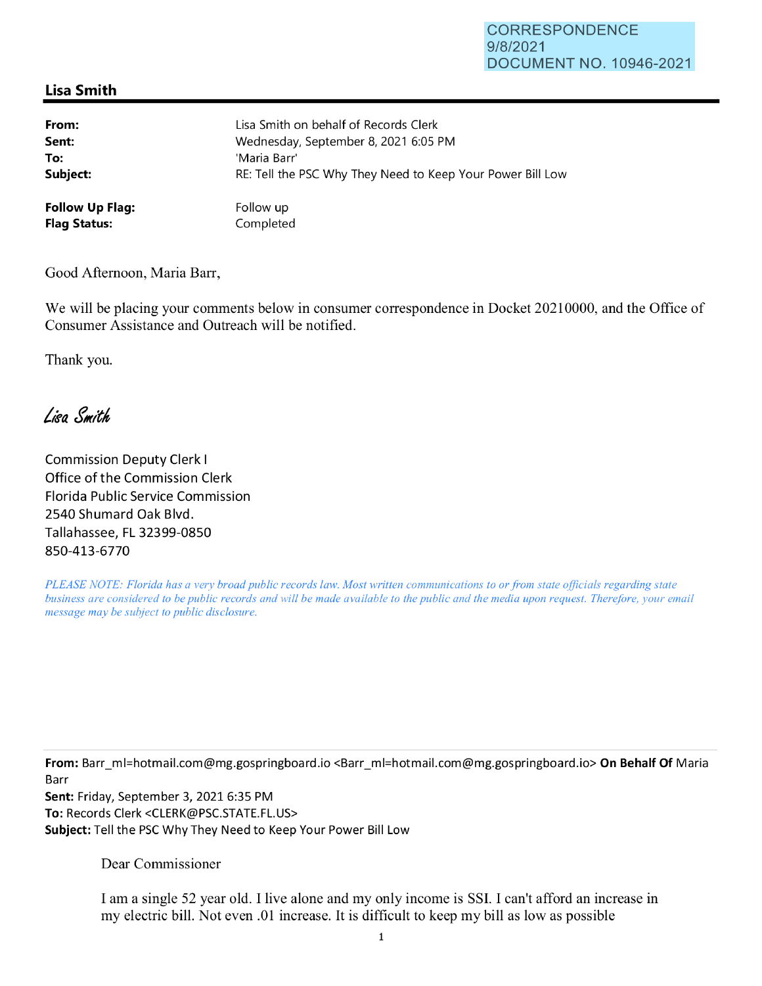## **CORRESPONDENCE** 9/8/2021 DOCUMENT NO. 10946-2021

## **Lisa Smith**

| From:                  | Lisa Smith on behalf of Records Clerk                      |
|------------------------|------------------------------------------------------------|
| Sent:                  | Wednesday, September 8, 2021 6:05 PM                       |
| To:                    | 'Maria Barr'                                               |
| Subject:               | RE: Tell the PSC Why They Need to Keep Your Power Bill Low |
| <b>Follow Up Flag:</b> | Follow up                                                  |
| <b>Flag Status:</b>    | Completed                                                  |

Good Afternoon, Maria Barr,

We will be placing your comments below in consumer correspondence in Docket 20210000, and the Office of Consumer Assistance and Outreach will be notified.

Thank you.

Lisa Smith

Commission Deputy Clerk I Office of the Commission Clerk Florida Public Service Commission 2540 Shumard Oak Blvd. Tallahassee, FL 32399-0850 850-413-6770

*PLEASE NOTE: Florida has a very broad public records law. Most written communications to or from state officials regarding state business are considered to be public records and will be made available to the public and the media upon request. Therefore, your email message may be subject to public disclosure.* 

**From:** Barr\_ml=hotmail.com@mg.gospringboard.io <Barr\_ml=hotmail.com@mg.gospringboard.io> **On Behalf Of** Maria Barr

**Sent:** Friday, September 3, 2021 6:35 PM **To:** Records Clerk <CLERK@PSC.STATE.FL.US> **Subject:** Tell the PSC Why They Need to Keep Your Power Bill Low

Dear Commissioner

I am a single 52 year old. I live alone and my only income is SSL I can't afford an increase in my electric bill. Not even .01 increase. It is difficult to keep my bill as low as possible